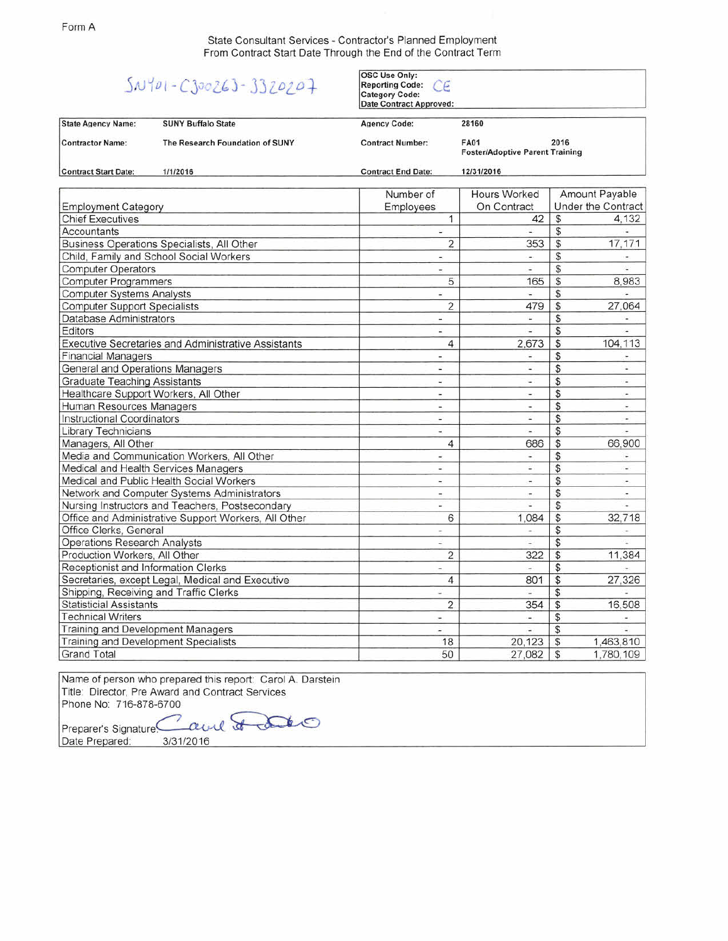State Consultant Services - Contractor's Planned Employment From Contract Start Date Through the End of the Contract Term

## $5N101 - C300263 - 3320207$

OSC Use Only:<br>Reporting Code: CE<br>Category Code:

|                                                     |                                                      | <b>Category Code:</b><br><b>Date Contract Approved:</b> |                                                               |                          |                          |  |
|-----------------------------------------------------|------------------------------------------------------|---------------------------------------------------------|---------------------------------------------------------------|--------------------------|--------------------------|--|
| <b>State Agency Name:</b>                           | <b>SUNY Buffalo State</b>                            | <b>Agency Code:</b>                                     | 28160                                                         |                          |                          |  |
| <b>Contractor Name:</b>                             | The Research Foundation of SUNY                      | <b>Contract Number:</b>                                 | <b>FA01</b><br>2016<br><b>Foster/Adoptive Parent Training</b> |                          |                          |  |
| <b>Contract Start Date:</b>                         | 1/1/2016                                             | <b>Contract End Date:</b>                               | 12/31/2016                                                    |                          |                          |  |
|                                                     |                                                      | Number of                                               | <b>Hours Worked</b>                                           |                          | Amount Payable           |  |
| <b>Employment Category</b>                          |                                                      | Employees                                               | On Contract                                                   |                          | Under the Contract       |  |
| <b>Chief Executives</b>                             |                                                      | 1                                                       | 42                                                            | \$                       | 4.132                    |  |
| Accountants                                         |                                                      | Φ                                                       | E.                                                            | \$                       | G.                       |  |
| Business Operations Specialists, All Other          |                                                      | 2                                                       | 353                                                           | $\overline{\mathcal{S}}$ | 17,171                   |  |
| Child, Family and School Social Workers             |                                                      | $\overline{\mathcal{D}}$                                | $\sim$                                                        | \$                       | ÷.                       |  |
| <b>Computer Operators</b>                           |                                                      | $\overline{\phantom{a}}$                                | ٠                                                             | \$                       | $\overline{\phantom{a}}$ |  |
| <b>Computer Programmers</b>                         |                                                      | 5                                                       | 165                                                           | \$                       | 8,983                    |  |
| <b>Computer Systems Analysts</b>                    |                                                      | ä,                                                      | ÷.                                                            | \$                       | w.                       |  |
| <b>Computer Support Specialists</b>                 |                                                      | $\overline{2}$                                          | 479                                                           | \$                       | 27,064                   |  |
| <b>Database Administrators</b>                      |                                                      | $\sim$                                                  | $\overline{\phantom{a}}$                                      | \$                       | $\overline{\phantom{a}}$ |  |
| Editors                                             |                                                      | $\frac{1}{2}$                                           | u                                                             | $\mathcal{S}$            | ÷.                       |  |
| Executive Secretaries and Administrative Assistants |                                                      | $\overline{\mathcal{L}}$                                | 2,673                                                         | \$                       | 104,113                  |  |
| <b>Financial Managers</b>                           |                                                      | $\blacksquare$                                          | $\frac{1}{2}$                                                 | \$                       | ۰                        |  |
| General and Operations Managers                     |                                                      | à.                                                      | u                                                             | \$                       | $\overline{\phantom{a}}$ |  |
| <b>Graduate Teaching Assistants</b>                 |                                                      | £,                                                      | ۷                                                             | \$                       | a.                       |  |
| Healthcare Support Workers, All Other               |                                                      | $\sim$                                                  | $\overline{\phantom{a}}$                                      | \$                       | $\overline{\phantom{a}}$ |  |
| Human Resources Managers                            |                                                      | $\blacksquare$                                          | ٠                                                             | \$                       | ٠                        |  |
| <b>Instructional Coordinators</b>                   |                                                      | 끜                                                       | ú,                                                            | \$                       | i.                       |  |
| <b>Library Technicians</b>                          |                                                      | $\omega$                                                | $\omega_{\rm c}$                                              | \$                       | ÷                        |  |
| Managers, All Other                                 |                                                      | 4                                                       | 686                                                           | $\mathfrak{s}$           | 66,900                   |  |
| Media and Communication Workers, All Other          |                                                      | ¥.                                                      | $\ddot{\phantom{1}}$                                          | \$                       | ٠                        |  |
| Medical and Health Services Managers                |                                                      | ×                                                       | Ξ                                                             | $\overline{\mathcal{S}}$ | Ψ                        |  |
| Medical and Public Health Social Workers            |                                                      | ٠                                                       | $\sim$                                                        | \$                       | $\ddot{}$                |  |
| Network and Computer Systems Administrators         |                                                      | $\overline{\mathcal{D}}$                                | ×,                                                            | \$                       | es.                      |  |
| Nursing Instructors and Teachers, Postsecondary     |                                                      | Ξ                                                       | ÷                                                             | \$                       | ۱.                       |  |
|                                                     | Office and Administrative Support Workers, All Other | 6                                                       | 1,084                                                         | \$                       | 32,718                   |  |
| Office Clerks, General                              |                                                      | ÷                                                       | ۰                                                             | \$                       |                          |  |
| <b>Operations Research Analysts</b>                 |                                                      | ٠                                                       | $\frac{1}{2}$                                                 | \$                       |                          |  |
| Production Workers, All Other                       |                                                      | $\overline{2}$                                          | 322                                                           | $\overline{\mathcal{L}}$ | 11.384                   |  |
| Receptionist and Information Clerks                 |                                                      | ×                                                       | $\overline{\phantom{a}}$                                      | \$                       |                          |  |
| Secretaries, except Legal, Medical and Executive    |                                                      | 4                                                       | 801                                                           | $\overline{\mathcal{S}}$ | 27,326                   |  |
| Shipping, Receiving and Traffic Clerks              |                                                      | u,                                                      | u,                                                            | \$                       |                          |  |
| <b>Statisticial Assistants</b>                      |                                                      | $\overline{2}$                                          | 354                                                           | \$                       | 16,508                   |  |
| <b>Technical Writers</b>                            |                                                      | H.                                                      | ٠                                                             | \$                       |                          |  |
| Training and Development Managers                   |                                                      | ۰                                                       | ä,                                                            | \$                       |                          |  |
| Training and Development Specialists                |                                                      | 18                                                      | 20,123                                                        | $\overline{\mathcal{S}}$ | 1,463,810                |  |
| <b>Grand Total</b>                                  |                                                      | 50                                                      | 27,082                                                        | \$                       | 1,780,109                |  |

Name of person who prepared this report: Carol A. Darstein Title: Director, Pre Award and Contract Services Phone No: 716-878-670

Preparer's Signature~ ~ Date Prepared: 3/31/2016